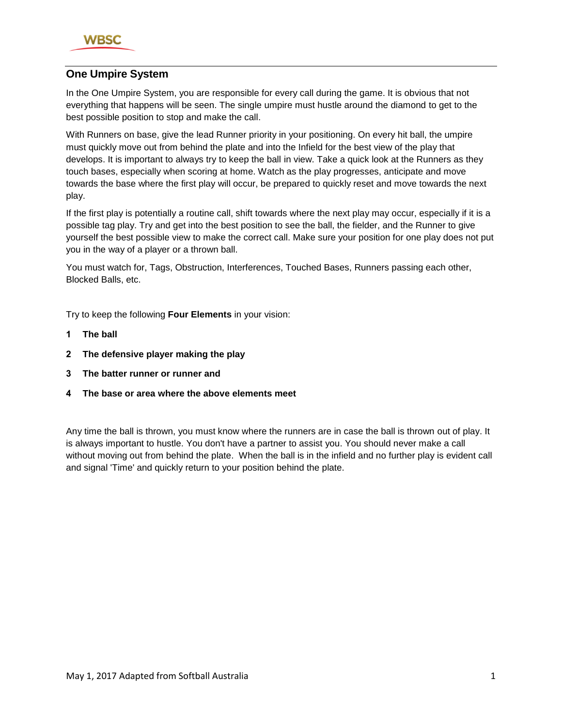

# **One Umpire System**

In the One Umpire System, you are responsible for every call during the game. It is obvious that not everything that happens will be seen. The single umpire must hustle around the diamond to get to the best possible position to stop and make the call.

With Runners on base, give the lead Runner priority in your positioning. On every hit ball, the umpire must quickly move out from behind the plate and into the Infield for the best view of the play that develops. It is important to always try to keep the ball in view. Take a quick look at the Runners as they touch bases, especially when scoring at home. Watch as the play progresses, anticipate and move towards the base where the first play will occur, be prepared to quickly reset and move towards the next play.

If the first play is potentially a routine call, shift towards where the next play may occur, especially if it is a possible tag play. Try and get into the best position to see the ball, the fielder, and the Runner to give yourself the best possible view to make the correct call. Make sure your position for one play does not put you in the way of a player or a thrown ball.

You must watch for, Tags, Obstruction, Interferences, Touched Bases, Runners passing each other, Blocked Balls, etc.

Try to keep the following **Four Elements** in your vision:

- **1 The ball**
- **2 The defensive player making the play**
- **3 The batter runner or runner and**
- **4 The base or area where the above elements meet**

Any time the ball is thrown, you must know where the runners are in case the ball is thrown out of play. It is always important to hustle. You don't have a partner to assist you. You should never make a call without moving out from behind the plate. When the ball is in the infield and no further play is evident call and signal 'Time' and quickly return to your position behind the plate.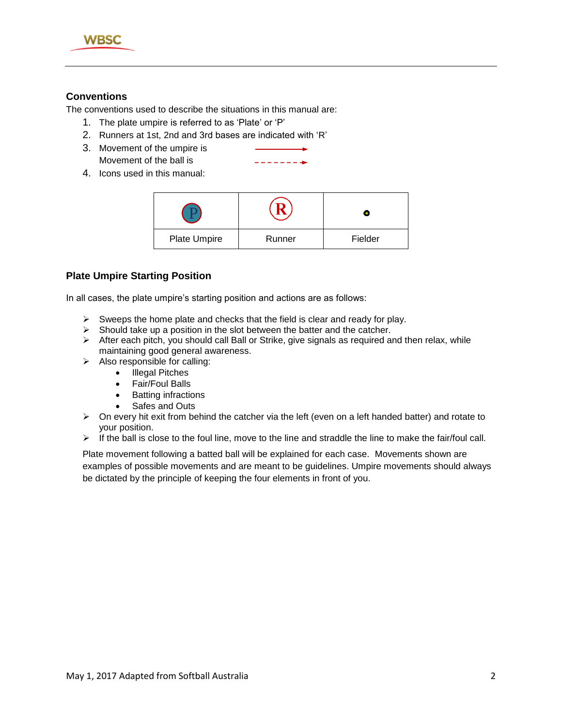

# **Conventions**

The conventions used to describe the situations in this manual are:

- 1. The plate umpire is referred to as 'Plate' or 'P'
- 2. Runners at 1st, 2nd and 3rd bases are indicated with 'R'
- 3. Movement of the umpire is Movement of the ball is
- --------
- 4. Icons used in this manual:

| Plate Umpire | Runner | Fielder |
|--------------|--------|---------|

## **Plate Umpire Starting Position**

In all cases, the plate umpire's starting position and actions are as follows:

- $\triangleright$  Sweeps the home plate and checks that the field is clear and ready for play.
- $\triangleright$  Should take up a position in the slot between the batter and the catcher.
- $\triangleright$  After each pitch, you should call Ball or Strike, give signals as required and then relax, while maintaining good general awareness.
- $\triangleright$  Also responsible for calling:
	- Illegal Pitches
	- Fair/Foul Balls
	- Batting infractions
	- Safes and Outs
- $\triangleright$  On every hit exit from behind the catcher via the left (even on a left handed batter) and rotate to your position.
- $\triangleright$  If the ball is close to the foul line, move to the line and straddle the line to make the fair/foul call.

Plate movement following a batted ball will be explained for each case. Movements shown are examples of possible movements and are meant to be guidelines. Umpire movements should always be dictated by the principle of keeping the four elements in front of you.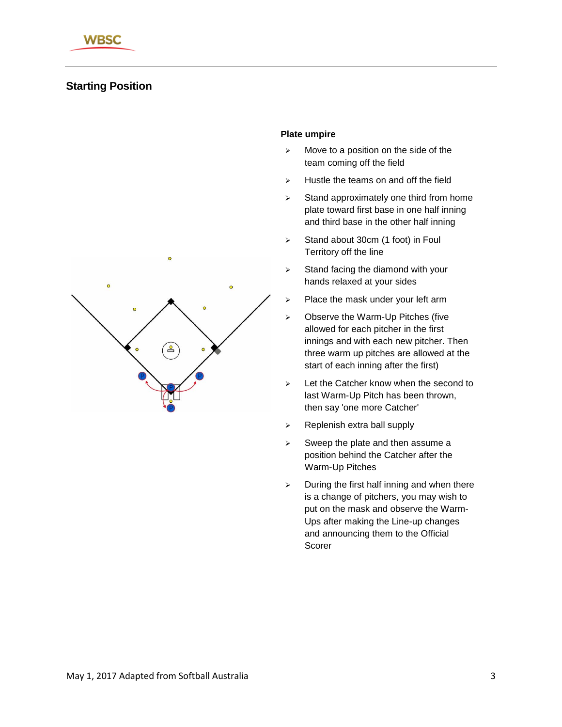# **Starting Position**



## **Plate umpire**

- $\triangleright$  Move to a position on the side of the team coming off the field
- $\triangleright$  Hustle the teams on and off the field
- $\geq$  Stand approximately one third from home plate toward first base in one half inning and third base in the other half inning
- $\triangleright$  Stand about 30cm (1 foot) in Foul Territory off the line
- $\triangleright$  Stand facing the diamond with your hands relaxed at your sides
- $\triangleright$  Place the mask under your left arm
- Observe the Warm-Up Pitches (five allowed for each pitcher in the first innings and with each new pitcher. Then three warm up pitches are allowed at the start of each inning after the first)
- $\geq$  Let the Catcher know when the second to last Warm-Up Pitch has been thrown, then say 'one more Catcher'
- $\triangleright$  Replenish extra ball supply
- $\triangleright$  Sweep the plate and then assume a position behind the Catcher after the Warm-Up Pitches
- $\triangleright$  During the first half inning and when there is a change of pitchers, you may wish to put on the mask and observe the Warm-Ups after making the Line-up changes and announcing them to the Official Scorer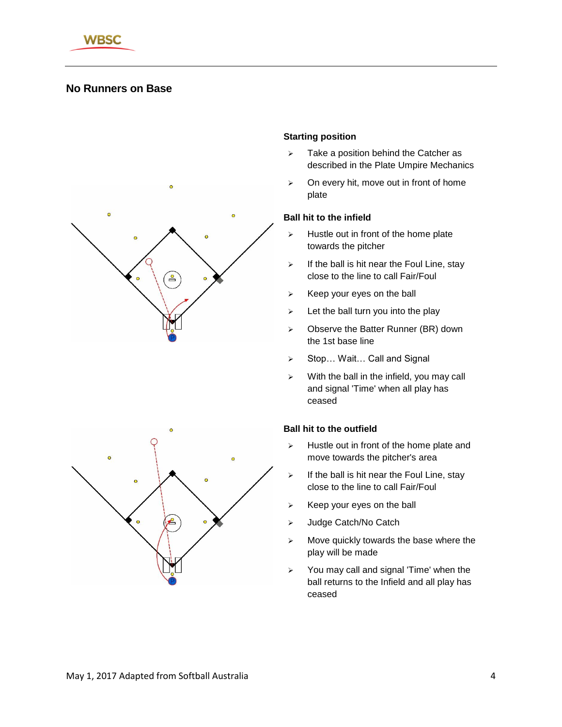

# **No Runners on Base**



# $\overline{a}$

## **Starting position**

- $\triangleright$  Take a position behind the Catcher as described in the Plate Umpire Mechanics
- $\geq$  On every hit, move out in front of home plate

### **Ball hit to the infield**

- $\triangleright$  Hustle out in front of the home plate towards the pitcher
- $\triangleright$  If the ball is hit near the Foul Line, stay close to the line to call Fair/Foul
- $\triangleright$  Keep your eyes on the ball
- $\triangleright$  Let the ball turn you into the play
- $\geq$  Observe the Batter Runner (BR) down the 1st base line
- ▶ Stop... Wait... Call and Signal
- $\triangleright$  With the ball in the infield, you may call and signal 'Time' when all play has ceased

- $\triangleright$  Hustle out in front of the home plate and move towards the pitcher's area
- $\triangleright$  If the ball is hit near the Foul Line, stay close to the line to call Fair/Foul
- $\triangleright$  Keep your eyes on the ball
- > Judge Catch/No Catch
- $\triangleright$  Move quickly towards the base where the play will be made
- $\triangleright$  You may call and signal 'Time' when the ball returns to the Infield and all play has ceased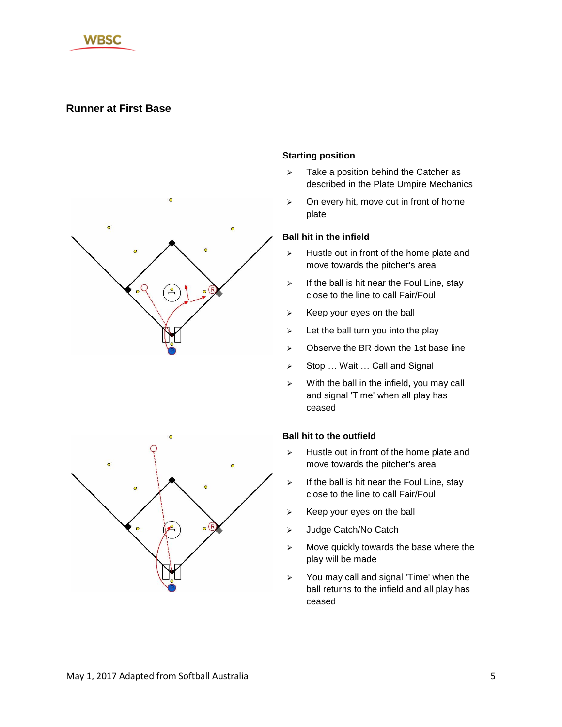

# **Runner at First Base**



## **Starting position**

- $\triangleright$  Take a position behind the Catcher as described in the Plate Umpire Mechanics
- $\triangleright$  On every hit, move out in front of home plate

## **Ball hit in the infield**

- $\triangleright$  Hustle out in front of the home plate and move towards the pitcher's area
- $\triangleright$  If the ball is hit near the Foul Line, stay close to the line to call Fair/Foul
- $\triangleright$  Keep your eyes on the ball
- $\triangleright$  Let the ball turn you into the play
- $\triangleright$  Observe the BR down the 1st base line
- ▶ Stop ... Wait ... Call and Signal
- $\triangleright$  With the ball in the infield, you may call and signal 'Time' when all play has ceased

- $\triangleright$  Hustle out in front of the home plate and move towards the pitcher's area
- $\triangleright$  If the ball is hit near the Foul Line, stay close to the line to call Fair/Foul
- $\triangleright$  Keep your eyes on the ball
- > Judge Catch/No Catch
- $\triangleright$  Move quickly towards the base where the play will be made
- $\triangleright$  You may call and signal 'Time' when the ball returns to the infield and all play has ceased

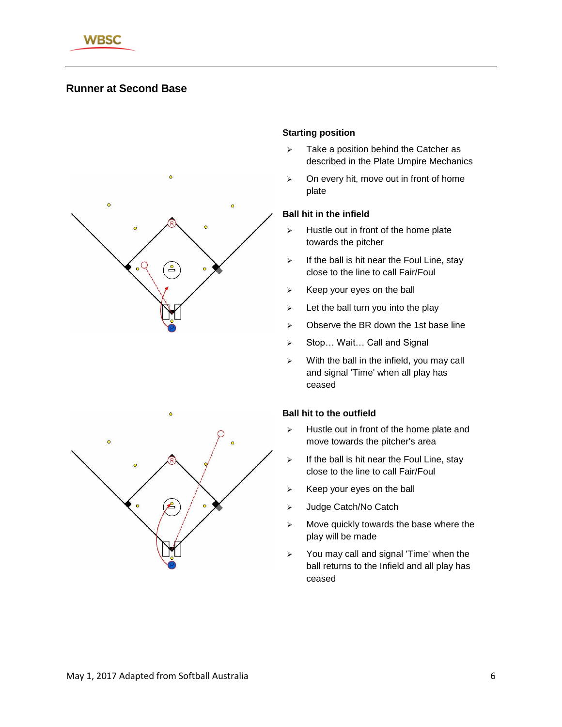

# **Runner at Second Base**



## **Starting position**

- $\triangleright$  Take a position behind the Catcher as described in the Plate Umpire Mechanics
- $\triangleright$  On every hit, move out in front of home plate

#### **Ball hit in the infield**

- $\triangleright$  Hustle out in front of the home plate towards the pitcher
- $\triangleright$  If the ball is hit near the Foul Line, stay close to the line to call Fair/Foul
- $\triangleright$  Keep your eyes on the ball
- $\geq$  Let the ball turn you into the play
- $\triangleright$  Observe the BR down the 1st base line
- ▶ Stop... Wait... Call and Signal
- $\triangleright$  With the ball in the infield, you may call and signal 'Time' when all play has ceased

- $\triangleright$  Hustle out in front of the home plate and move towards the pitcher's area
- $\triangleright$  If the ball is hit near the Foul Line, stay close to the line to call Fair/Foul
- $\triangleright$  Keep your eyes on the ball
- > Judge Catch/No Catch
- $\triangleright$  Move quickly towards the base where the play will be made
- $\triangleright$  You may call and signal 'Time' when the ball returns to the Infield and all play has ceased

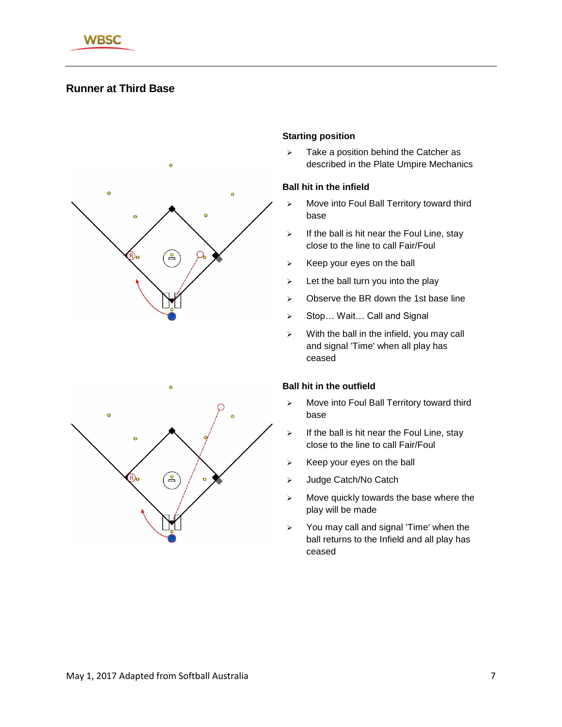

# **Runner at Third Base**



## **Starting position**

 $\triangleright$  Take a position behind the Catcher as described in the Plate Umpire Mechanics

#### **Ball hit in the infield**

- $\triangleright$  Move into Foul Ball Territory toward third base
- $\triangleright$  If the ball is hit near the Foul Line, stay close to the line to call Fair/Foul
- $\triangleright$  Keep your eyes on the ball
- $\triangleright$  Let the ball turn you into the play
- $\geq$  Observe the BR down the 1st base line
- ▶ Stop... Wait... Call and Signal
- $\triangleright$  With the ball in the infield, you may call and signal 'Time' when all play has ceased

- Move into Foul Ball Territory toward third base
- $\triangleright$  If the ball is hit near the Foul Line, stay close to the line to call Fair/Foul
- $\triangleright$  Keep your eyes on the ball
- > Judge Catch/No Catch
- $\triangleright$  Move quickly towards the base where the play will be made
- $\geq$  You may call and signal 'Time' when the ball returns to the Infield and all play has ceased

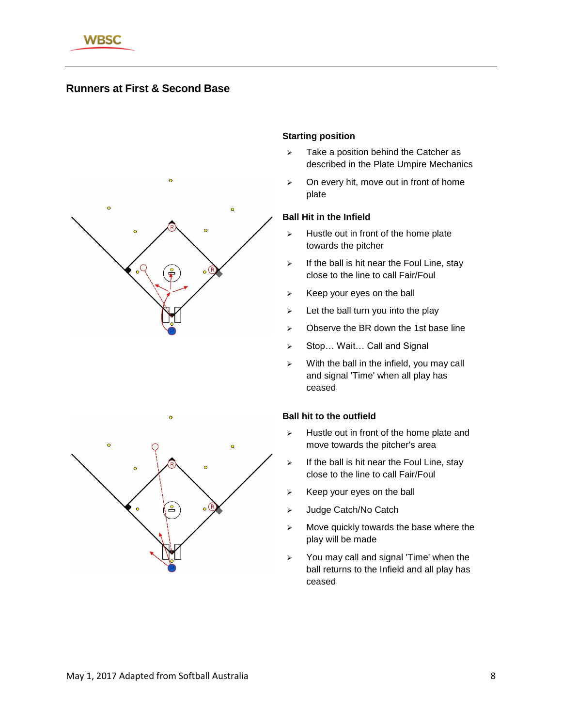

# **Runners at First & Second Base**



#### **Starting position**

- $\triangleright$  Take a position behind the Catcher as described in the Plate Umpire Mechanics
- $\triangleright$  On every hit, move out in front of home plate

### **Ball Hit in the Infield**

- $\triangleright$  Hustle out in front of the home plate towards the pitcher
- $\triangleright$  If the ball is hit near the Foul Line, stay close to the line to call Fair/Foul
- $\triangleright$  Keep your eyes on the ball
- $\geq$  Let the ball turn you into the play
- $\geq$  Observe the BR down the 1st base line
- ▶ Stop... Wait... Call and Signal
- $\triangleright$  With the ball in the infield, you may call and signal 'Time' when all play has ceased

- $\triangleright$  Hustle out in front of the home plate and move towards the pitcher's area
- $\triangleright$  If the ball is hit near the Foul Line, stay close to the line to call Fair/Foul
- $\triangleright$  Keep your eyes on the ball
- > Judge Catch/No Catch
- $\triangleright$  Move quickly towards the base where the play will be made
- $\geq$  You may call and signal 'Time' when the ball returns to the Infield and all play has ceased

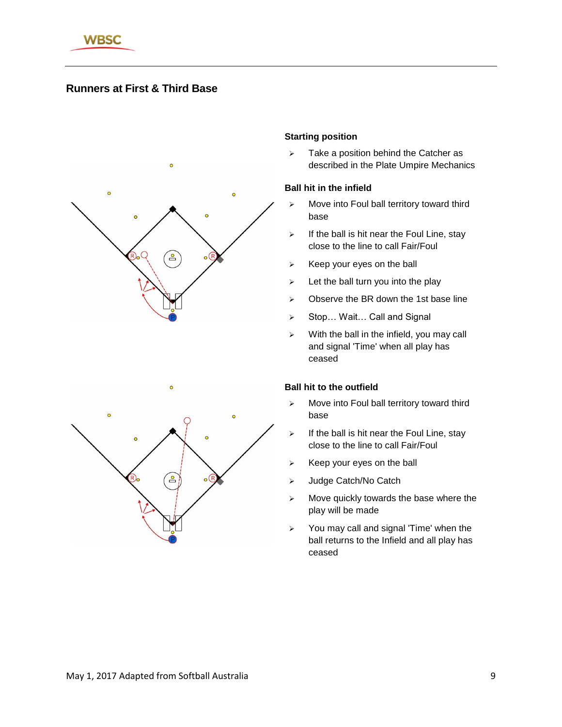

# **Runners at First & Third Base**



## **Starting position**

 $\triangleright$  Take a position behind the Catcher as described in the Plate Umpire Mechanics

#### **Ball hit in the infield**

- $\triangleright$  Move into Foul ball territory toward third base
- $\triangleright$  If the ball is hit near the Foul Line, stay close to the line to call Fair/Foul
- $\triangleright$  Keep your eyes on the ball
- $\triangleright$  Let the ball turn you into the play
- $\geq$  Observe the BR down the 1st base line
- ▶ Stop... Wait... Call and Signal
- $\triangleright$  With the ball in the infield, you may call and signal 'Time' when all play has ceased

- > Move into Foul ball territory toward third base
- $\triangleright$  If the ball is hit near the Foul Line, stay close to the line to call Fair/Foul
- $\triangleright$  Keep your eyes on the ball
- > Judge Catch/No Catch
- $\triangleright$  Move quickly towards the base where the play will be made
- $\triangleright$  You may call and signal 'Time' when the ball returns to the Infield and all play has ceased

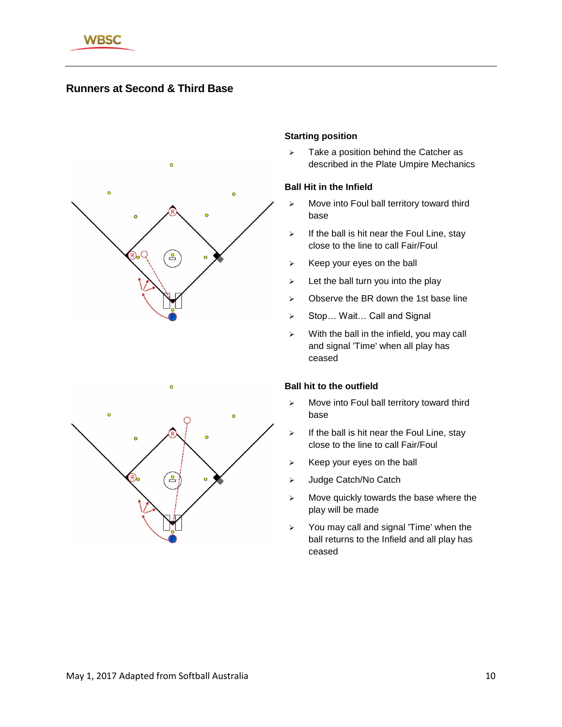

# **Runners at Second & Third Base**



## **Starting position**

 $\triangleright$  Take a position behind the Catcher as described in the Plate Umpire Mechanics

## **Ball Hit in the Infield**

- $\triangleright$  Move into Foul ball territory toward third base
- $\triangleright$  If the ball is hit near the Foul Line, stay close to the line to call Fair/Foul
- $\triangleright$  Keep your eyes on the ball
- $\triangleright$  Let the ball turn you into the play
- $\geq$  Observe the BR down the 1st base line
- ▶ Stop... Wait... Call and Signal
- $\triangleright$  With the ball in the infield, you may call and signal 'Time' when all play has ceased

- $\triangleright$  Move into Foul ball territory toward third base
- $\triangleright$  If the ball is hit near the Foul Line, stay close to the line to call Fair/Foul
- $\triangleright$  Keep your eyes on the ball
- > Judge Catch/No Catch
- $\triangleright$  Move quickly towards the base where the play will be made
- $\geq$  You may call and signal 'Time' when the ball returns to the Infield and all play has ceased